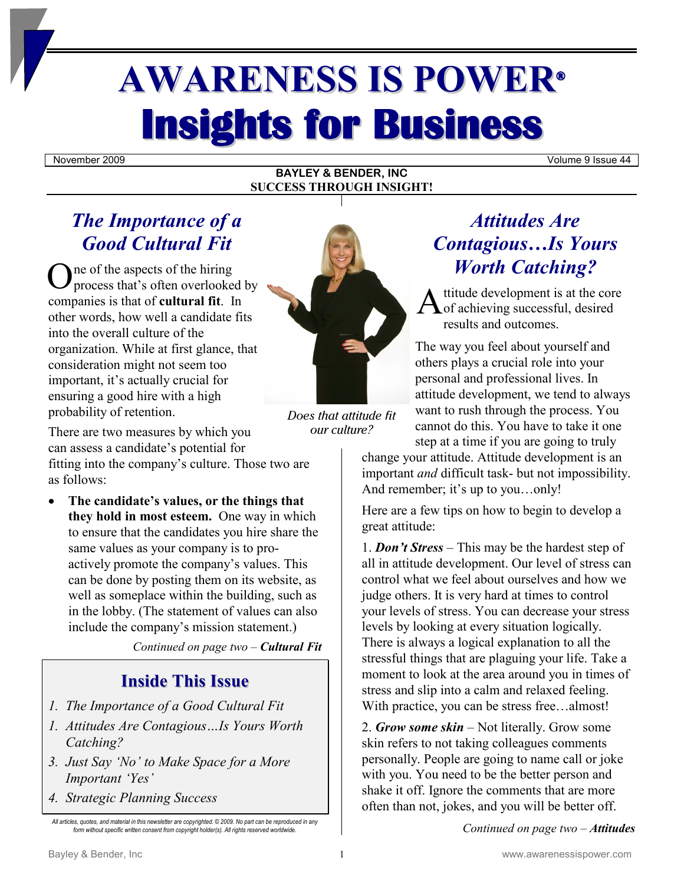# **AWARENESS IS POWER® Insights for Business**

November 2009 Volume 9 Issue 44

## **BAYLEY & BENDER, INC SUCCESS THROUGH INSIGHT!**

# *The Importance of a Good Cultural Fit*

ne of the aspects of the hiring process that's often overlooked by companies is that of **cultural fit**. In other words, how well a candidate fits into the overall culture of the organization. While at first glance, that consideration might not seem too important, it's actually crucial for ensuring a good hire with a high probability of retention. One of the aspects of the hiring<br>companies is that is often overlooked by<br>other words, how well a candidate fits



Does that attitude fit our culture?

There are two measures by which you can assess a candidate's potential for fitting into the company's culture. Those two are as follows:

• **The candidate's values, or the things that they hold in most esteem.** One way in which to ensure that the candidates you hire share the same values as your company is to proactively promote the company's values. This can be done by posting them on its website, as well as someplace within the building, such as in the lobby. (The statement of values can also include the company's mission statement.)

*Continued on page two – Cultural Fit*

# **Inside This Issue**

- *1. The Importance of a Good Cultural Fit*
- *1. Attitudes Are Contagious…Is Yours Worth Catching?*
- *3. Just Say 'No' to Make Space for a More Important 'Yes'*
- *4. Strategic Planning Success*

# *Attitudes Are Contagious…Is Yours Worth Catching?*

ttitude development is at the core  $\bigwedge$  of achieving successful, desired results and outcomes.

The way you feel about yourself and others plays a crucial role into your personal and professional lives. In attitude development, we tend to always want to rush through the process. You cannot do this. You have to take it one step at a time if you are going to truly

change your attitude. Attitude development is an important *and* difficult task- but not impossibility. And remember; it's up to you…only!

Here are a few tips on how to begin to develop a great attitude:

1. *Don't Stress* – This may be the hardest step of all in attitude development. Our level of stress can control what we feel about ourselves and how we judge others. It is very hard at times to control your levels of stress. You can decrease your stress levels by looking at every situation logically. There is always a logical explanation to all the stressful things that are plaguing your life. Take a moment to look at the area around you in times of stress and slip into a calm and relaxed feeling. With practice, you can be stress free...almost!

2. *Grow some skin* – Not literally. Grow some skin refers to not taking colleagues comments personally. People are going to name call or joke with you. You need to be the better person and shake it off. Ignore the comments that are more often than not, jokes, and you will be better off.

*Continued on page two* – *Attitudes*

*All articles, quotes, and material in this newsletter are copyrighted. © 2009. No part can be reproduced in any form without specific written consent from copyright holder(s). All rights reserved worldwide.*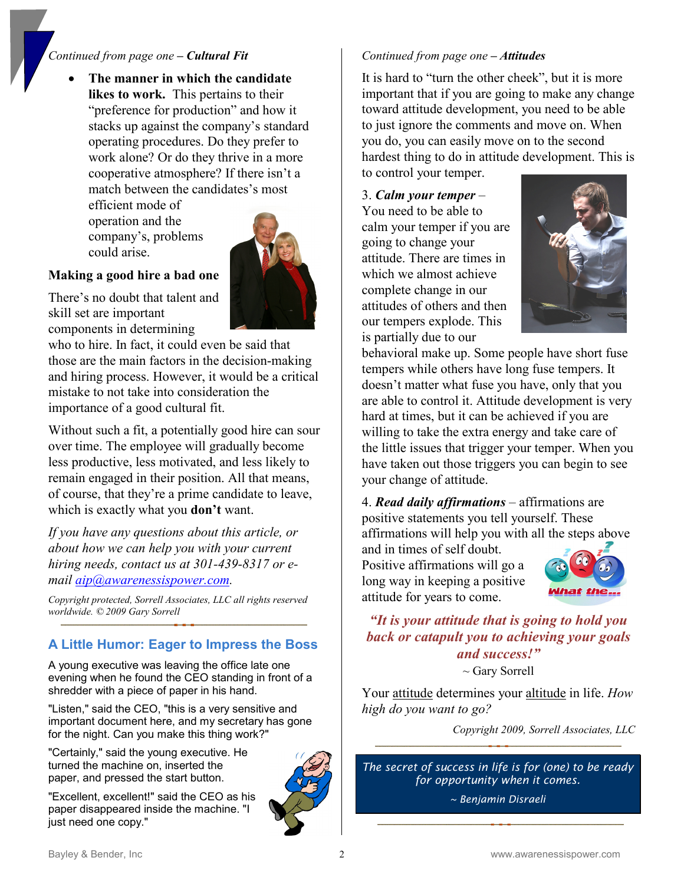## *Continued from page one – Cultural Fit*

• **The manner in which the candidate likes to work.** This pertains to their "preference for production" and how it stacks up against the company's standard operating procedures. Do they prefer to work alone? Or do they thrive in a more cooperative atmosphere? If there isn't a match between the candidates's most

efficient mode of operation and the company's, problems could arise.



#### **Making a good hire a bad one**

There's no doubt that talent and skill set are important components in determining

who to hire. In fact, it could even be said that those are the main factors in the decision-making and hiring process. However, it would be a critical mistake to not take into consideration the importance of a good cultural fit.

Without such a fit, a potentially good hire can sour over time. The employee will gradually become less productive, less motivated, and less likely to remain engaged in their position. All that means, of course, that they're a prime candidate to leave, which is exactly what you **don't** want.

*If you have any questions about this article, or about how we can help you with your current hiring needs, contact us at 301-439-8317 or email [aip@awarenessispower.com.](mailto:aip@awarenessispower.com)*

*Copyright protected, Sorrell Associates, LLC all rights reserved worldwide. © 2009 Gary Sorrell* 

# **A Little Humor: Eager to Impress the Boss**

A young executive was leaving the office late one evening when he found the CEO standing in front of a shredder with a piece of paper in his hand.

"Listen," said the CEO, "this is a very sensitive and important document here, and my secretary has gone for the night. Can you make this thing work?"

"Certainly," said the young executive. He turned the machine on, inserted the paper, and pressed the start button.

"Excellent, excellent!" said the CEO as his paper disappeared inside the machine. "I just need one copy."



### *Continued from page one – Attitudes*

It is hard to "turn the other cheek", but it is more important that if you are going to make any change toward attitude development, you need to be able to just ignore the comments and move on. When you do, you can easily move on to the second hardest thing to do in attitude development. This is

to control your temper.

3. *Calm your temper* –

You need to be able to calm your temper if you are going to change your attitude. There are times in which we almost achieve complete change in our attitudes of others and then our tempers explode. This is partially due to our



behavioral make up. Some people have short fuse tempers while others have long fuse tempers. It doesn't matter what fuse you have, only that you are able to control it. Attitude development is very hard at times, but it can be achieved if you are willing to take the extra energy and take care of the little issues that trigger your temper. When you have taken out those triggers you can begin to see your change of attitude.

4. *Read daily affirmations* – affirmations are positive statements you tell yourself. These affirmations will help you with all the steps above

and in times of self doubt. Positive affirmations will go a long way in keeping a positive attitude for years to come.



# *"It is your attitude that is going to hold you back or catapult you to achieving your goals and success!"*

 $\sim$  Gary Sorrell

Your attitude determines your altitude in life. *How high do you want to go?*

*Copyright 2009, Sorrell Associates, LLC* 

*The secret of success in life is for (one) to be ready for opportunity when it comes.*

*~ Benjamin Disraeli*

Bayley & Bender, Inc **2** 2 and 2 www.awarenessispower.com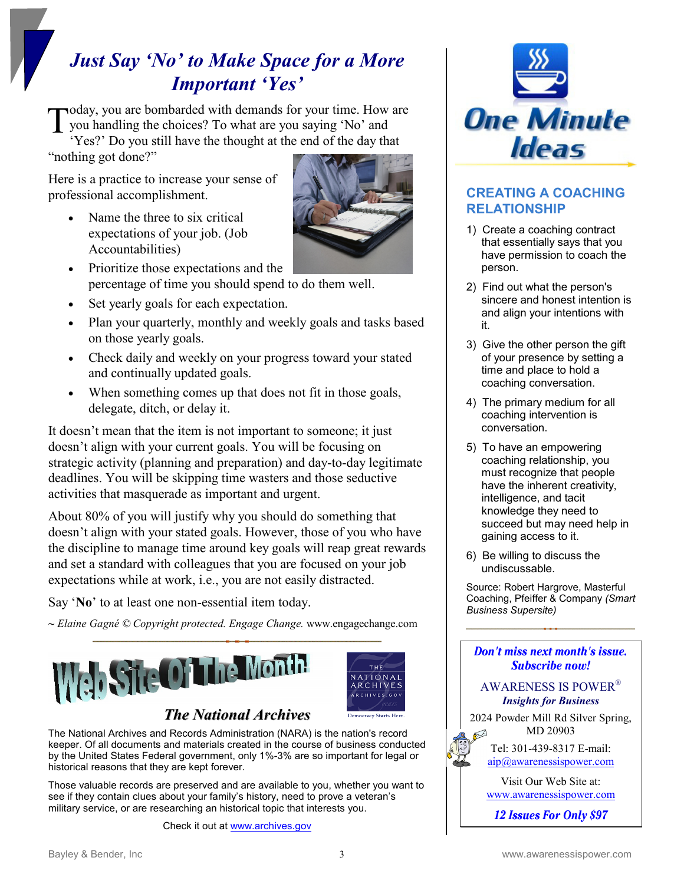# *Just Say 'No' to Make Space for a More Important 'Yes'*

oday, you are bombarded with demands for your time. How are you handling the choices? To what are you saying 'No' and 'Yes?' Do you still have the thought at the end of the day that T

"nothing got done?"

Here is a practice to increase your sense of professional accomplishment.

• Name the three to six critical expectations of your job. (Job Accountabilities)



- Prioritize those expectations and the percentage of time you should spend to do them well.
- Set yearly goals for each expectation.
- Plan your quarterly, monthly and weekly goals and tasks based on those yearly goals.
- Check daily and weekly on your progress toward your stated and continually updated goals.
- When something comes up that does not fit in those goals, delegate, ditch, or delay it.

It doesn't mean that the item is not important to someone; it just doesn't align with your current goals. You will be focusing on strategic activity (planning and preparation) and day-to-day legitimate deadlines. You will be skipping time wasters and those seductive activities that masquerade as important and urgent.

About 80% of you will justify why you should do something that doesn't align with your stated goals. However, those of you who have the discipline to manage time around key goals will reap great rewards and set a standard with colleagues that you are focused on your job expectations while at work, i.e., you are not easily distracted.

Say '**No**' to at least one non-essential item today.

*~ Elaine Gagné © Copyright protected. Engage Change.* www.engagechange.com





The National Archives and Records Administration (NARA) is the nation's record keeper. Of all documents and materials created in the course of business conducted by the United States Federal government, only 1%-3% are so important for legal or historical reasons that they are kept forever.

Those valuable records are preserved and are available to you, whether you want to see if they contain clues about your family's history, need to prove a veteran's military service, or are researching an historical topic that interests you.

Check it out at [www.archives.gov](http://www.archives.gov/)



# **CREATING A COACHING RELATIONSHIP**

- 1) Create a coaching contract that essentially says that you have permission to coach the person.
- 2) Find out what the person's sincere and honest intention is and align your intentions with it.
- 3) Give the other person the gift of your presence by setting a time and place to hold a coaching conversation.
- 4) The primary medium for all coaching intervention is conversation.
- 5) To have an empowering coaching relationship, you must recognize that people have the inherent creativity, intelligence, and tacit knowledge they need to succeed but may need help in gaining access to it.
- 6) Be willing to discuss the undiscussable.

Source: Robert Hargrove, Masterful Coaching, Pfeiffer & Company *(Smart Business Supersite)*



Visit Our Web Site at: [www.awarenessispower.com](http://www.awarenessispower.com/)

12 Issues For Only \$97

T H'E VATIONAL ARCHIVES CHIVES GOV